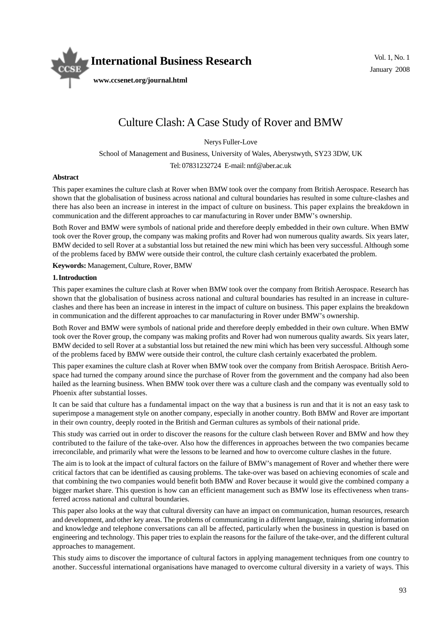

# Culture Clash: A Case Study of Rover and BMW

Nerys Fuller-Love

School of Management and Business, University of Wales, Aberystwyth, SY23 3DW, UK

Tel: 07831232724 E-mail: nnf@aber.ac.uk

#### **Abstract**

This paper examines the culture clash at Rover when BMW took over the company from British Aerospace. Research has shown that the globalisation of business across national and cultural boundaries has resulted in some culture-clashes and there has also been an increase in interest in the impact of culture on business. This paper explains the breakdown in communication and the different approaches to car manufacturing in Rover under BMW's ownership.

Both Rover and BMW were symbols of national pride and therefore deeply embedded in their own culture. When BMW took over the Rover group, the company was making profits and Rover had won numerous quality awards. Six years later, BMW decided to sell Rover at a substantial loss but retained the new mini which has been very successful. Although some of the problems faced by BMW were outside their control, the culture clash certainly exacerbated the problem.

**Keywords:** Management, Culture, Rover, BMW

#### **1. Introduction**

This paper examines the culture clash at Rover when BMW took over the company from British Aerospace. Research has shown that the globalisation of business across national and cultural boundaries has resulted in an increase in cultureclashes and there has been an increase in interest in the impact of culture on business. This paper explains the breakdown in communication and the different approaches to car manufacturing in Rover under BMW's ownership.

Both Rover and BMW were symbols of national pride and therefore deeply embedded in their own culture. When BMW took over the Rover group, the company was making profits and Rover had won numerous quality awards. Six years later, BMW decided to sell Rover at a substantial loss but retained the new mini which has been very successful. Although some of the problems faced by BMW were outside their control, the culture clash certainly exacerbated the problem.

This paper examines the culture clash at Rover when BMW took over the company from British Aerospace. British Aerospace had turned the company around since the purchase of Rover from the government and the company had also been hailed as the learning business. When BMW took over there was a culture clash and the company was eventually sold to Phoenix after substantial losses.

It can be said that culture has a fundamental impact on the way that a business is run and that it is not an easy task to superimpose a management style on another company, especially in another country. Both BMW and Rover are important in their own country, deeply rooted in the British and German cultures as symbols of their national pride.

This study was carried out in order to discover the reasons for the culture clash between Rover and BMW and how they contributed to the failure of the take-over. Also how the differences in approaches between the two companies became irreconcilable, and primarily what were the lessons to be learned and how to overcome culture clashes in the future.

The aim is to look at the impact of cultural factors on the failure of BMW's management of Rover and whether there were critical factors that can be identified as causing problems. The take-over was based on achieving economies of scale and that combining the two companies would benefit both BMW and Rover because it would give the combined company a bigger market share. This question is how can an efficient management such as BMW lose its effectiveness when transferred across national and cultural boundaries.

This paper also looks at the way that cultural diversity can have an impact on communication, human resources, research and development, and other key areas. The problems of communicating in a different language, training, sharing information and knowledge and telephone conversations can all be affected, particularly when the business in question is based on engineering and technology. This paper tries to explain the reasons for the failure of the take-over, and the different cultural approaches to management.

This study aims to discover the importance of cultural factors in applying management techniques from one country to another. Successful international organisations have managed to overcome cultural diversity in a variety of ways. This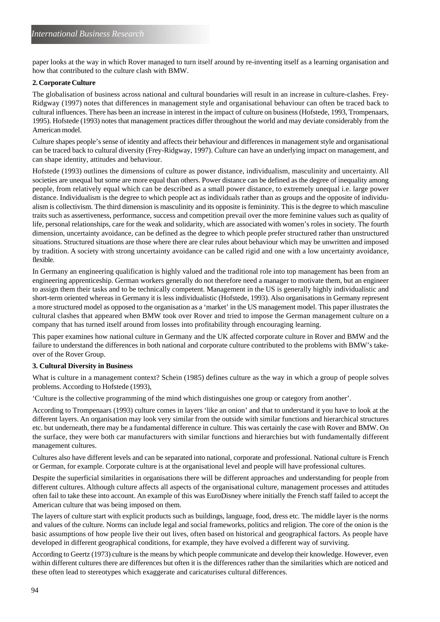paper looks at the way in which Rover managed to turn itself around by re-inventing itself as a learning organisation and how that contributed to the culture clash with BMW.

# **2. Corporate Culture**

The globalisation of business across national and cultural boundaries will result in an increase in culture-clashes. Frey-Ridgway (1997) notes that differences in management style and organisational behaviour can often be traced back to cultural influences. There has been an increase in interest in the impact of culture on business (Hofstede, 1993, Trompenaars, 1995). Hofstede (1993) notes that management practices differ throughout the world and may deviate considerably from the American model.

Culture shapes people's sense of identity and affects their behaviour and differences in management style and organisational can be traced back to cultural diversity (Frey-Ridgway, 1997). Culture can have an underlying impact on management, and can shape identity, attitudes and behaviour.

Hofstede (1993) outlines the dimensions of culture as power distance, individualism, masculinity and uncertainty. All societies are unequal but some are more equal than others. Power distance can be defined as the degree of inequality among people, from relatively equal which can be described as a small power distance, to extremely unequal i.e. large power distance. Individualism is the degree to which people act as individuals rather than as groups and the opposite of individualism is collectivism. The third dimension is masculinity and its opposite is femininity. This is the degree to which masculine traits such as assertiveness, performance, success and competition prevail over the more feminine values such as quality of life, personal relationships, care for the weak and solidarity, which are associated with women's roles in society. The fourth dimension, uncertainty avoidance, can be defined as the degree to which people prefer structured rather than unstructured situations. Structured situations are those where there are clear rules about behaviour which may be unwritten and imposed by tradition. A society with strong uncertainty avoidance can be called rigid and one with a low uncertainty avoidance, flexible.

In Germany an engineering qualification is highly valued and the traditional role into top management has been from an engineering apprenticeship. German workers generally do not therefore need a manager to motivate them, but an engineer to assign them their tasks and to be technically competent. Management in the US is generally highly individualistic and short-term oriented whereas in Germany it is less individualistic (Hofstede, 1993). Also organisations in Germany represent a more structured model as opposed to the organisation as a 'market' in the US management model. This paper illustrates the cultural clashes that appeared when BMW took over Rover and tried to impose the German management culture on a company that has turned itself around from losses into profitability through encouraging learning.

This paper examines how national culture in Germany and the UK affected corporate culture in Rover and BMW and the failure to understand the differences in both national and corporate culture contributed to the problems with BMW's takeover of the Rover Group.

# **3. Cultural Diversity in Business**

What is culture in a management context? Schein (1985) defines culture as the way in which a group of people solves problems. According to Hofstede (1993),

'Culture is the collective programming of the mind which distinguishes one group or category from another'.

According to Trompenaars (1993) culture comes in layers 'like an onion' and that to understand it you have to look at the different layers. An organisation may look very similar from the outside with similar functions and hierarchical structures etc. but underneath, there may be a fundamental difference in culture. This was certainly the case with Rover and BMW. On the surface, they were both car manufacturers with similar functions and hierarchies but with fundamentally different management cultures.

Cultures also have different levels and can be separated into national, corporate and professional. National culture is French or German, for example. Corporate culture is at the organisational level and people will have professional cultures.

Despite the superficial similarities in organisations there will be different approaches and understanding for people from different cultures. Although culture affects all aspects of the organisational culture, management processes and attitudes often fail to take these into account. An example of this was EuroDisney where initially the French staff failed to accept the American culture that was being imposed on them.

The layers of culture start with explicit products such as buildings, language, food, dress etc. The middle layer is the norms and values of the culture. Norms can include legal and social frameworks, politics and religion. The core of the onion is the basic assumptions of how people live their out lives, often based on historical and geographical factors. As people have developed in different geographical conditions, for example, they have evolved a different way of surviving.

According to Geertz (1973) culture is the means by which people communicate and develop their knowledge. However, even within different cultures there are differences but often it is the differences rather than the similarities which are noticed and these often lead to stereotypes which exaggerate and caricaturises cultural differences.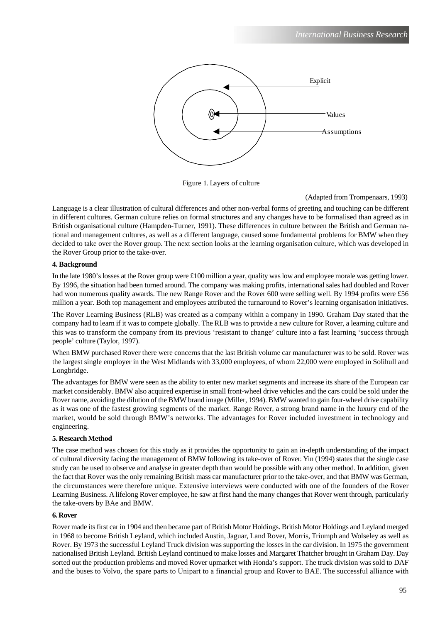

Figure 1. Layers of culture

# (Adapted from Trompenaars, 1993)

Language is a clear illustration of cultural differences and other non-verbal forms of greeting and touching can be different in different cultures. German culture relies on formal structures and any changes have to be formalised than agreed as in British organisational culture (Hampden-Turner, 1991). These differences in culture between the British and German national and management cultures, as well as a different language, caused some fundamental problems for BMW when they decided to take over the Rover group. The next section looks at the learning organisation culture, which was developed in the Rover Group prior to the take-over.

# **4. Background**

In the late 1980's losses at the Rover group were £100 million a year, quality was low and employee morale was getting lower. By 1996, the situation had been turned around. The company was making profits, international sales had doubled and Rover had won numerous quality awards. The new Range Rover and the Rover 600 were selling well. By 1994 profits were £56 million a year. Both top management and employees attributed the turnaround to Rover's learning organisation initiatives.

The Rover Learning Business (RLB) was created as a company within a company in 1990. Graham Day stated that the company had to learn if it was to compete globally. The RLB was to provide a new culture for Rover, a learning culture and this was to transform the company from its previous 'resistant to change' culture into a fast learning 'success through people' culture (Taylor, 1997).

When BMW purchased Rover there were concerns that the last British volume car manufacturer was to be sold. Rover was the largest single employer in the West Midlands with 33,000 employees, of whom 22,000 were employed in Solihull and Longbridge.

The advantages for BMW were seen as the ability to enter new market segments and increase its share of the European car market considerably. BMW also acquired expertise in small front-wheel drive vehicles and the cars could be sold under the Rover name, avoiding the dilution of the BMW brand image (Miller, 1994). BMW wanted to gain four-wheel drive capability as it was one of the fastest growing segments of the market. Range Rover, a strong brand name in the luxury end of the market, would be sold through BMW's networks. The advantages for Rover included investment in technology and engineering.

# **5. Research Method**

The case method was chosen for this study as it provides the opportunity to gain an in-depth understanding of the impact of cultural diversity facing the management of BMW following its take-over of Rover. Yin (1994) states that the single case study can be used to observe and analyse in greater depth than would be possible with any other method. In addition, given the fact that Rover was the only remaining British mass car manufacturer prior to the take-over, and that BMW was German, the circumstances were therefore unique. Extensive interviews were conducted with one of the founders of the Rover Learning Business. A lifelong Rover employee, he saw at first hand the many changes that Rover went through, particularly the take-overs by BAe and BMW.

# **6. Rover**

Rover made its first car in 1904 and then became part of British Motor Holdings. British Motor Holdings and Leyland merged in 1968 to become British Leyland, which included Austin, Jaguar, Land Rover, Morris, Triumph and Wolseley as well as Rover. By 1973 the successful Leyland Truck division was supporting the losses in the car division. In 1975 the government nationalised British Leyland. British Leyland continued to make losses and Margaret Thatcher brought in Graham Day. Day sorted out the production problems and moved Rover upmarket with Honda's support. The truck division was sold to DAF and the buses to Volvo, the spare parts to Unipart to a financial group and Rover to BAE. The successful alliance with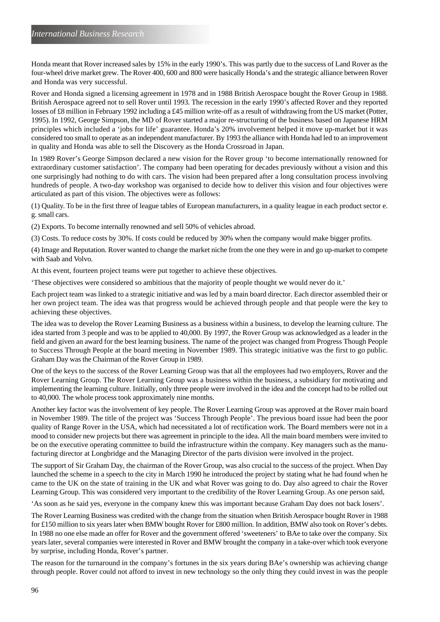Honda meant that Rover increased sales by 15% in the early 1990's. This was partly due to the success of Land Rover as the four-wheel drive market grew. The Rover 400, 600 and 800 were basically Honda's and the strategic alliance between Rover and Honda was very successful.

Rover and Honda signed a licensing agreement in 1978 and in 1988 British Aerospace bought the Rover Group in 1988. British Aerospace agreed not to sell Rover until 1993. The recession in the early 1990's affected Rover and they reported losses of £8 million in February 1992 including a £45 million write-off as a result of withdrawing from the US market (Potter, 1995). In 1992, George Simpson, the MD of Rover started a major re-structuring of the business based on Japanese HRM principles which included a 'jobs for life' guarantee. Honda's 20% involvement helped it move up-market but it was considered too small to operate as an independent manufacturer. By 1993 the alliance with Honda had led to an improvement in quality and Honda was able to sell the Discovery as the Honda Crossroad in Japan.

In 1989 Rover's George Simpson declared a new vision for the Rover group 'to become internationally renowned for extraordinary customer satisfaction'. The company had been operating for decades previously without a vision and this one surprisingly had nothing to do with cars. The vision had been prepared after a long consultation process involving hundreds of people. A two-day workshop was organised to decide how to deliver this vision and four objectives were articulated as part of this vision. The objectives were as follows:

(1) Quality. To be in the first three of league tables of European manufacturers, in a quality league in each product sector e. g. small cars.

(2) Exports. To become internally renowned and sell 50% of vehicles abroad.

(3) Costs. To reduce costs by 30%. If costs could be reduced by 30% when the company would make bigger profits.

(4) Image and Reputation. Rover wanted to change the market niche from the one they were in and go up-market to compete with Saab and Volvo.

At this event, fourteen project teams were put together to achieve these objectives.

'These objectives were considered so ambitious that the majority of people thought we would never do it.'

Each project team was linked to a strategic initiative and was led by a main board director. Each director assembled their or her own project team. The idea was that progress would be achieved through people and that people were the key to achieving these objectives.

The idea was to develop the Rover Learning Business as a business within a business, to develop the learning culture. The idea started from 3 people and was to be applied to 40,000. By 1997, the Rover Group was acknowledged as a leader in the field and given an award for the best learning business. The name of the project was changed from Progress Though People to Success Through People at the board meeting in November 1989. This strategic initiative was the first to go public. Graham Day was the Chairman of the Rover Group in 1989.

One of the keys to the success of the Rover Learning Group was that all the employees had two employers, Rover and the Rover Learning Group. The Rover Learning Group was a business within the business, a subsidiary for motivating and implementing the learning culture. Initially, only three people were involved in the idea and the concept had to be rolled out to 40,000. The whole process took approximately nine months.

Another key factor was the involvement of key people. The Rover Learning Group was approved at the Rover main board in November 1989. The title of the project was 'Success Through People'. The previous board issue had been the poor quality of Range Rover in the USA, which had necessitated a lot of rectification work. The Board members were not in a mood to consider new projects but there was agreement in principle to the idea. All the main board members were invited to be on the executive operating committee to build the infrastructure within the company. Key managers such as the manufacturing director at Longbridge and the Managing Director of the parts division were involved in the project.

The support of Sir Graham Day, the chairman of the Rover Group, was also crucial to the success of the project. When Day launched the scheme in a speech to the city in March 1990 he introduced the project by stating what he had found when he came to the UK on the state of training in the UK and what Rover was going to do. Day also agreed to chair the Rover Learning Group. This was considered very important to the credibility of the Rover Learning Group. As one person said,

'As soon as he said yes, everyone in the company knew this was important because Graham Day does not back losers'.

The Rover Learning Business was credited with the change from the situation when British Aerospace bought Rover in 1988 for £150 million to six years later when BMW bought Rover for £800 million. In addition, BMW also took on Rover's debts. In 1988 no one else made an offer for Rover and the government offered 'sweeteners' to BAe to take over the company. Six years later, several companies were interested in Rover and BMW brought the company in a take-over which took everyone by surprise, including Honda, Rover's partner.

The reason for the turnaround in the company's fortunes in the six years during BAe's ownership was achieving change through people. Rover could not afford to invest in new technology so the only thing they could invest in was the people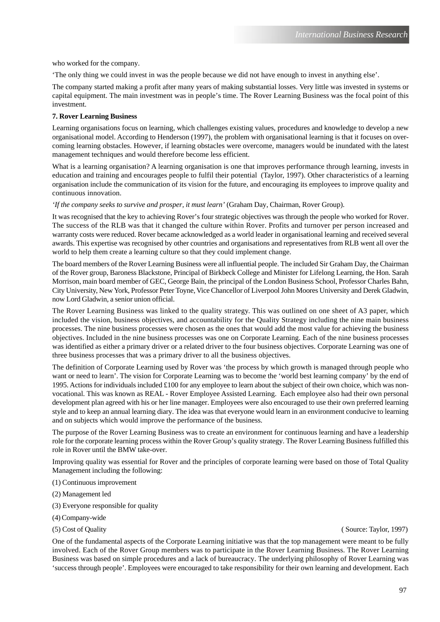who worked for the company.

'The only thing we could invest in was the people because we did not have enough to invest in anything else'.

The company started making a profit after many years of making substantial losses. Very little was invested in systems or capital equipment. The main investment was in people's time. The Rover Learning Business was the focal point of this investment.

#### **7. Rover Learning Business**

Learning organisations focus on learning, which challenges existing values, procedures and knowledge to develop a new organisational model. According to Henderson (1997), the problem with organisational learning is that it focuses on overcoming learning obstacles. However, if learning obstacles were overcome, managers would be inundated with the latest management techniques and would therefore become less efficient.

What is a learning organisation? A learning organisation is one that improves performance through learning, invests in education and training and encourages people to fulfil their potential (Taylor, 1997). Other characteristics of a learning organisation include the communication of its vision for the future, and encouraging its employees to improve quality and continuous innovation.

*'If the company seeks to survive and prosper, it must learn'* (Graham Day, Chairman, Rover Group).

It was recognised that the key to achieving Rover's four strategic objectives was through the people who worked for Rover. The success of the RLB was that it changed the culture within Rover. Profits and turnover per person increased and warranty costs were reduced. Rover became acknowledged as a world leader in organisational learning and received several awards. This expertise was recognised by other countries and organisations and representatives from RLB went all over the world to help them create a learning culture so that they could implement change.

The board members of the Rover Learning Business were all influential people. The included Sir Graham Day, the Chairman of the Rover group, Baroness Blackstone, Principal of Birkbeck College and Minister for Lifelong Learning, the Hon. Sarah Morrison, main board member of GEC, George Bain, the principal of the London Business School, Professor Charles Bahn, City University, New York, Professor Peter Toyne, Vice Chancellor of Liverpool John Moores University and Derek Gladwin, now Lord Gladwin, a senior union official.

The Rover Learning Business was linked to the quality strategy. This was outlined on one sheet of A3 paper, which included the vision, business objectives, and accountability for the Quality Strategy including the nine main business processes. The nine business processes were chosen as the ones that would add the most value for achieving the business objectives. Included in the nine business processes was one on Corporate Learning. Each of the nine business processes was identified as either a primary driver or a related driver to the four business objectives. Corporate Learning was one of three business processes that was a primary driver to all the business objectives.

The definition of Corporate Learning used by Rover was 'the process by which growth is managed through people who want or need to learn'. The vision for Corporate Learning was to become the 'world best learning company' by the end of 1995. Actions for individuals included £100 for any employee to learn about the subject of their own choice, which was nonvocational. This was known as REAL - Rover Employee Assisted Learning. Each employee also had their own personal development plan agreed with his or her line manager. Employees were also encouraged to use their own preferred learning style and to keep an annual learning diary. The idea was that everyone would learn in an environment conducive to learning and on subjects which would improve the performance of the business.

The purpose of the Rover Learning Business was to create an environment for continuous learning and have a leadership role for the corporate learning process within the Rover Group's quality strategy. The Rover Learning Business fulfilled this role in Rover until the BMW take-over.

Improving quality was essential for Rover and the principles of corporate learning were based on those of Total Quality Management including the following:

(1) Continuous improvement

(2) Management led

(3) Everyone responsible for quality

(4) Company-wide

(5) Cost of Quality ( Source: Taylor, 1997)

One of the fundamental aspects of the Corporate Learning initiative was that the top management were meant to be fully involved. Each of the Rover Group members was to participate in the Rover Learning Business. The Rover Learning Business was based on simple procedures and a lack of bureaucracy. The underlying philosophy of Rover Learning was 'success through people'. Employees were encouraged to take responsibility for their own learning and development. Each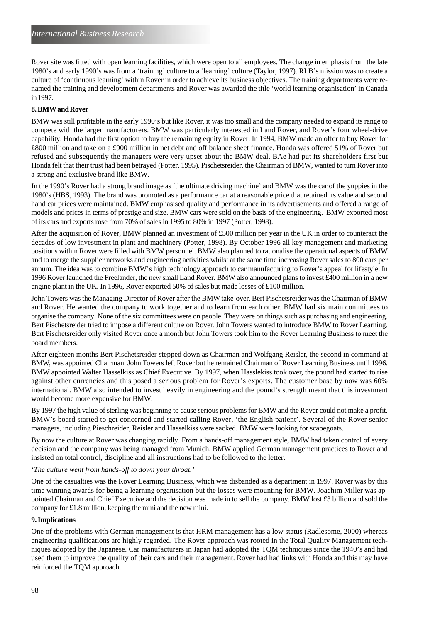Rover site was fitted with open learning facilities, which were open to all employees. The change in emphasis from the late 1980's and early 1990's was from a 'training' culture to a 'learning' culture (Taylor, 1997). RLB's mission was to create a culture of 'continuous learning' within Rover in order to achieve its business objectives. The training departments were renamed the training and development departments and Rover was awarded the title 'world learning organisation' in Canada in 1997.

# **8. BMW and Rover**

BMW was still profitable in the early 1990's but like Rover, it was too small and the company needed to expand its range to compete with the larger manufacturers. BMW was particularly interested in Land Rover, and Rover's four wheel-drive capability. Honda had the first option to buy the remaining equity in Rover. In 1994, BMW made an offer to buy Rover for £800 million and take on a £900 million in net debt and off balance sheet finance. Honda was offered 51% of Rover but refused and subsequently the managers were very upset about the BMW deal. BAe had put its shareholders first but Honda felt that their trust had been betrayed (Potter, 1995). Pischetsreider, the Chairman of BMW, wanted to turn Rover into a strong and exclusive brand like BMW.

In the 1990's Rover had a strong brand image as 'the ultimate driving machine' and BMW was the car of the yuppies in the 1980's (HBS, 1993). The brand was promoted as a performance car at a reasonable price that retained its value and second hand car prices were maintained. BMW emphasised quality and performance in its advertisements and offered a range of models and prices in terms of prestige and size. BMW cars were sold on the basis of the engineering. BMW exported most of its cars and exports rose from 70% of sales in 1995 to 80% in 1997 (Potter, 1998).

After the acquisition of Rover, BMW planned an investment of £500 million per year in the UK in order to counteract the decades of low investment in plant and machinery (Potter, 1998). By October 1996 all key management and marketing positions within Rover were filled with BMW personnel. BMW also planned to rationalise the operational aspects of BMW and to merge the supplier networks and engineering activities whilst at the same time increasing Rover sales to 800 cars per annum. The idea was to combine BMW's high technology approach to car manufacturing to Rover's appeal for lifestyle. In 1996 Rover launched the Freelander, the new small Land Rover. BMW also announced plans to invest £400 million in a new engine plant in the UK. In 1996, Rover exported 50% of sales but made losses of £100 million.

John Towers was the Managing Director of Rover after the BMW take-over, Bert Pischetsreider was the Chairman of BMW and Rover. He wanted the company to work together and to learn from each other. BMW had six main committees to organise the company. None of the six committees were on people. They were on things such as purchasing and engineering. Bert Pischetsreider tried to impose a different culture on Rover. John Towers wanted to introduce BMW to Rover Learning. Bert Pischetsreider only visited Rover once a month but John Towers took him to the Rover Learning Business to meet the board members.

After eighteen months Bert Pischetsreider stepped down as Chairman and Wolfgang Reisler, the second in command at BMW, was appointed Chairman. John Towers left Rover but he remained Chairman of Rover Learning Business until 1996. BMW appointed Walter Hasselkiss as Chief Executive. By 1997, when Hasslekiss took over, the pound had started to rise against other currencies and this posed a serious problem for Rover's exports. The customer base by now was 60% international. BMW also intended to invest heavily in engineering and the pound's strength meant that this investment would become more expensive for BMW.

By 1997 the high value of sterling was beginning to cause serious problems for BMW and the Rover could not make a profit. BMW's board started to get concerned and started calling Rover, 'the English patient'. Several of the Rover senior managers, including Pieschreider, Reisler and Hasselkiss were sacked. BMW were looking for scapegoats.

By now the culture at Rover was changing rapidly. From a hands-off management style, BMW had taken control of every decision and the company was being managed from Munich. BMW applied German management practices to Rover and insisted on total control, discipline and all instructions had to be followed to the letter.

#### *'The culture went from hands-off to down your throat.'*

One of the casualties was the Rover Learning Business, which was disbanded as a department in 1997. Rover was by this time winning awards for being a learning organisation but the losses were mounting for BMW. Joachim Miller was appointed Chairman and Chief Executive and the decision was made in to sell the company. BMW lost £3 billion and sold the company for £1.8 million, keeping the mini and the new mini.

# **9. Implications**

One of the problems with German management is that HRM management has a low status (Radlesome, 2000) whereas engineering qualifications are highly regarded. The Rover approach was rooted in the Total Quality Management techniques adopted by the Japanese. Car manufacturers in Japan had adopted the TQM techniques since the 1940's and had used them to improve the quality of their cars and their management. Rover had had links with Honda and this may have reinforced the TQM approach.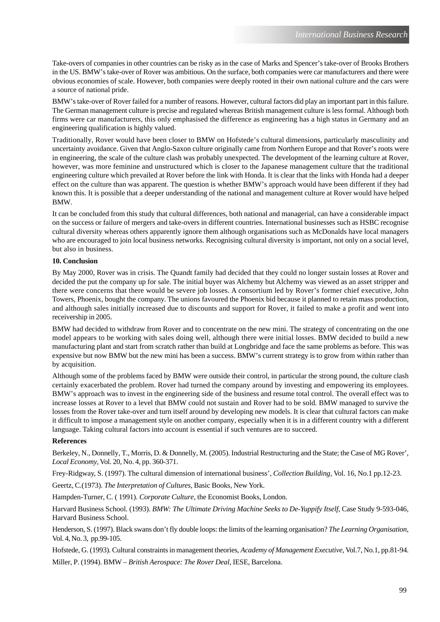Take-overs of companies in other countries can be risky as in the case of Marks and Spencer's take-over of Brooks Brothers in the US. BMW's take-over of Rover was ambitious. On the surface, both companies were car manufacturers and there were obvious economies of scale. However, both companies were deeply rooted in their own national culture and the cars were a source of national pride.

BMW's take-over of Rover failed for a number of reasons. However, cultural factors did play an important part in this failure. The German management culture is precise and regulated whereas British management culture is less formal. Although both firms were car manufacturers, this only emphasised the difference as engineering has a high status in Germany and an engineering qualification is highly valued.

Traditionally, Rover would have been closer to BMW on Hofstede's cultural dimensions, particularly masculinity and uncertainty avoidance. Given that Anglo-Saxon culture originally came from Northern Europe and that Rover's roots were in engineering, the scale of the culture clash was probably unexpected. The development of the learning culture at Rover, however, was more feminine and unstructured which is closer to the Japanese management culture that the traditional engineering culture which prevailed at Rover before the link with Honda. It is clear that the links with Honda had a deeper effect on the culture than was apparent. The question is whether BMW's approach would have been different if they had known this. It is possible that a deeper understanding of the national and management culture at Rover would have helped BMW.

It can be concluded from this study that cultural differences, both national and managerial, can have a considerable impact on the success or failure of mergers and take-overs in different countries. International businesses such as HSBC recognise cultural diversity whereas others apparently ignore them although organisations such as McDonalds have local managers who are encouraged to join local business networks. Recognising cultural diversity is important, not only on a social level, but also in business.

#### **10. Conclusion**

By May 2000, Rover was in crisis. The Quandt family had decided that they could no longer sustain losses at Rover and decided the put the company up for sale. The initial buyer was Alchemy but Alchemy was viewed as an asset stripper and there were concerns that there would be severe job losses. A consortium led by Rover's former chief executive, John Towers, Phoenix, bought the company. The unions favoured the Phoenix bid because it planned to retain mass production, and although sales initially increased due to discounts and support for Rover, it failed to make a profit and went into receivership in 2005.

BMW had decided to withdraw from Rover and to concentrate on the new mini. The strategy of concentrating on the one model appears to be working with sales doing well, although there were initial losses. BMW decided to build a new manufacturing plant and start from scratch rather than build at Longbridge and face the same problems as before. This was expensive but now BMW but the new mini has been a success. BMW's current strategy is to grow from within rather than by acquisition.

Although some of the problems faced by BMW were outside their control, in particular the strong pound, the culture clash certainly exacerbated the problem. Rover had turned the company around by investing and empowering its employees. BMW's approach was to invest in the engineering side of the business and resume total control. The overall effect was to increase losses at Rover to a level that BMW could not sustain and Rover had to be sold. BMW managed to survive the losses from the Rover take-over and turn itself around by developing new models. It is clear that cultural factors can make it difficult to impose a management style on another company, especially when it is in a different country with a different language. Taking cultural factors into account is essential if such ventures are to succeed.

#### **References**

Berkeley, N., Donnelly, T., Morris, D. & Donnelly, M. (2005). Industrial Restructuring and the State; the Case of MG Rover', *Local Economy*, Vol. 20, No. 4, pp. 360-371.

Frey-Ridgway, S. (1997). The cultural dimension of international business', *Collection Building,* Vol. 16, No.1 pp.12-23.

Geertz, C.(1973). *The Interpretation of Cultures*, Basic Books, New York.

Hampden-Turner, C. ( 1991). *Corporate Culture*, the Economist Books, London.

Harvard Business School. (1993). *BMW: The Ultimate Driving Machine Seeks to De-Yuppify Itself*, Case Study 9-593-046, Harvard Business School.

Henderson, S. (1997). Black swans don't fly double loops: the limits of the learning organisation? *The Learning Organisation,* Vol. 4, No. 3, pp.99-105.

Hofstede, G. (1993). Cultural constraints in management theories, *Academy of Management Executive*, Vol.7, No.1, pp.81-94. Miller, P. (1994). BMW – *British Aerospace: The Rover Deal*, IESE, Barcelona.